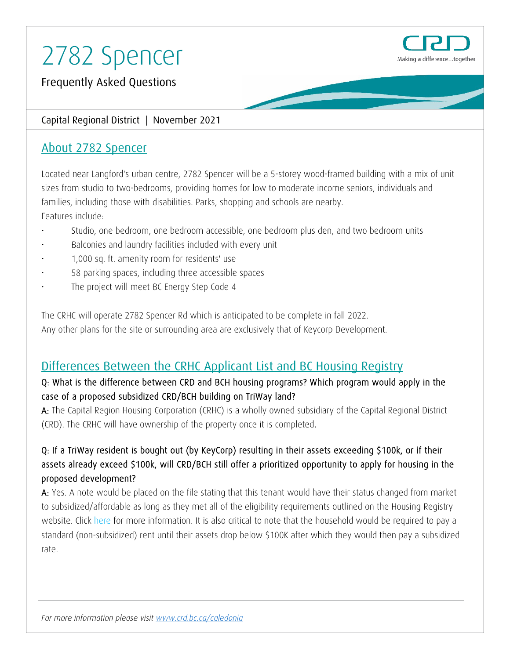

Frequently Asked Questions

# Capital Regional District | November 2021

# About 2782 Spencer

Located near Langford's urban centre, 2782 Spencer will be a 5-storey wood-framed building with a mix of unit sizes from studio to two-bedrooms, providing homes for low to moderate income seniors, individuals and families, including those with disabilities. Parks, shopping and schools are nearby. Features include:

- Studio, one bedroom, one bedroom accessible, one bedroom plus den, and two bedroom units
- Balconies and laundry facilities included with every unit
- 1,000 sq. ft. amenity room for residents' use
- 58 parking spaces, including three accessible spaces
- The project will meet BC Energy Step Code 4

The CRHC will operate 2782 Spencer Rd which is anticipated to be complete in fall 2022. Any other plans for the site or surrounding area are exclusively that of Keycorp Development.

# Differences Between the CRHC Applicant List and BC Housing Registry

# Q: What is the difference between CRD and BCH housing programs? Which program would apply in the case of a proposed subsidized CRD/BCH building on TriWay land?

A: The Capital Region Housing Corporation (CRHC) is a wholly owned subsidiary of the Capital Regional District (CRD). The CRHC will have ownership of the property once it is completed.

# Q: If a TriWay resident is bought out (by KeyCorp) resulting in their assets exceeding \$100k, or if their assets already exceed \$100k, will CRD/BCH still offer a prioritized opportunity to apply for housing in the proposed development?

A: Yes. A note would be placed on the file stating that this tenant would have their status changed from market to subsidized/affordable as long as they met all of the eligibility requirements outlined on the Housing Registry website. Click here [for more information.](https://www.bchousing.org/housing-assistance/rental-housing/subsidized-housing) It is also critical to note that the household would be required to pay a standard (non-subsidized) rent until their assets drop below \$100K after which they would then pay a subsidized rate.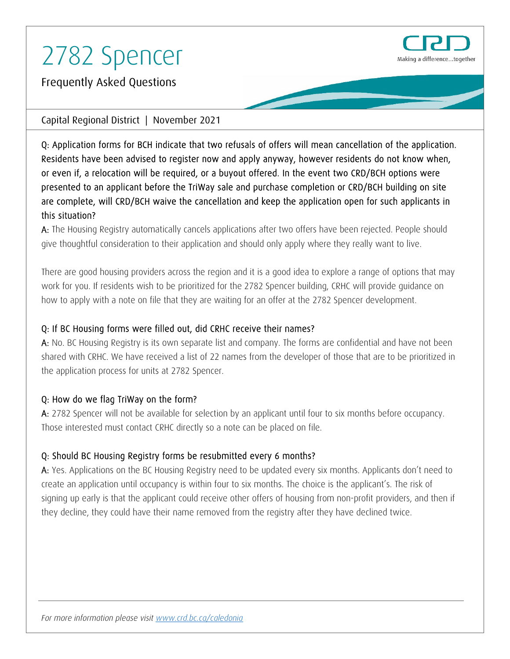

Frequently Asked Questions

### Capital Regional District | November 2021

Q: Application forms for BCH indicate that two refusals of offers will mean cancellation of the application. Residents have been advised to register now and apply anyway, however residents do not know when, or even if, a relocation will be required, or a buyout offered. In the event two CRD/BCH options were presented to an applicant before the TriWay sale and purchase completion or CRD/BCH building on site are complete, will CRD/BCH waive the cancellation and keep the application open for such applicants in this situation?

A: The Housing Registry automatically cancels applications after two offers have been rejected. People should give thoughtful consideration to their application and should only apply where they really want to live.

There are good housing providers across the region and it is a good idea to explore a range of options that may work for you. If residents wish to be prioritized for the 2782 Spencer building, CRHC will provide guidance on how to apply with a note on file that they are waiting for an offer at the 2782 Spencer development.

### Q: If BC Housing forms were filled out, did CRHC receive their names?

A: No. BC Housing Registry is its own separate list and company. The forms are confidential and have not been shared with CRHC. We have received a list of 22 names from the developer of those that are to be prioritized in the application process for units at 2782 Spencer.

# Q: How do we flag TriWay on the form?

A: 2782 Spencer will not be available for selection by an applicant until four to six months before occupancy. Those interested must contact CRHC directly so a note can be placed on file.

# Q: Should BC Housing Registry forms be resubmitted every 6 months?

A: Yes. Applications on the BC Housing Registry need to be updated every six months. Applicants don't need to create an application until occupancy is within four to six months. The choice is the applicant's. The risk of signing up early is that the applicant could receive other offers of housing from non-profit providers, and then if they decline, they could have their name removed from the registry after they have declined twice.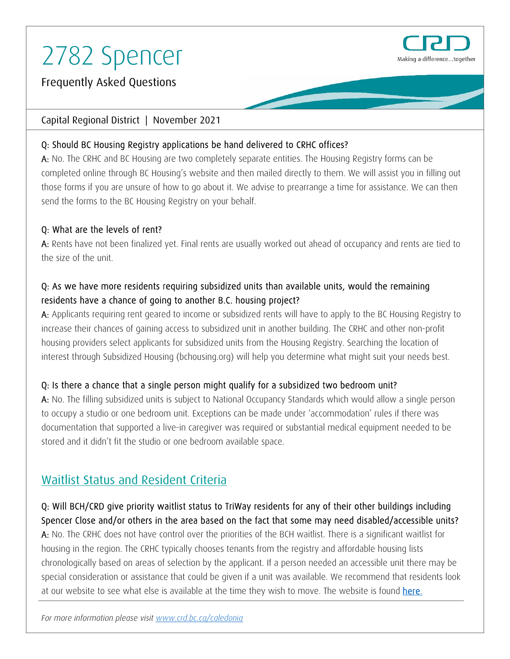

Frequently Asked Questions

### Capital Regional District | November 2021

# Q: Should BC Housing Registry applications be hand delivered to CRHC offices?

A: No. The CRHC and BC Housing are two completely separate entities. The Housing Registry forms can be completed online through BC Housing's website and then mailed directly to them. We will assist you in filling out those forms if you are unsure of how to go about it. We advise to prearrange a time for assistance. We can then send the forms to the BC Housing Registry on your behalf.

# Q: What are the levels of rent?

A: Rents have not been finalized yet. Final rents are usually worked out ahead of occupancy and rents are tied to the size of the unit.

# Q: As we have more residents requiring subsidized units than available units, would the remaining residents have a chance of going to another B.C. housing project?

A: Applicants requiring rent geared to income or subsidized rents will have to apply to the BC Housing Registry to increase their chances of gaining access to subsidized unit in another building. The CRHC and other non-profit housing providers select applicants for subsidized units from the Housing Registry. Searching the location of interest through [Subsidized Housing \(bchousing.org\)](https://www.bchousing.org/housing-assistance/rental-housing/subsidized-housing) will help you determine what might suit your needs best.

# Q: Is there a chance that a single person might qualify for a subsidized two bedroom unit?

A: No. The filling subsidized units is subject to National Occupancy Standards which would allow a single person to occupy a studio or one bedroom unit. Exceptions can be made under 'accommodation' rules if there was documentation that supported a live-in caregiver was required or substantial medical equipment needed to be stored and it didn't fit the studio or one bedroom available space.

# Waitlist Status and Resident Criteria

# Q: Will BCH/CRD give priority waitlist status to TriWay residents for any of their other buildings including Spencer Close and/or others in the area based on the fact that some may need disabled/accessible units?

A: No. The CRHC does not have control over the priorities of the BCH waitlist. There is a significant waitlist for housing in the region. The CRHC typically chooses tenants from the registry and affordable housing lists chronologically based on areas of selection by the applicant. If a person needed an accessible unit there may be special consideration or assistance that could be given if a unit was available. We recommend that residents look at our website to see what else is available at the time they wish to move. The website is found [here.](https://www.crd.bc.ca/crhc/)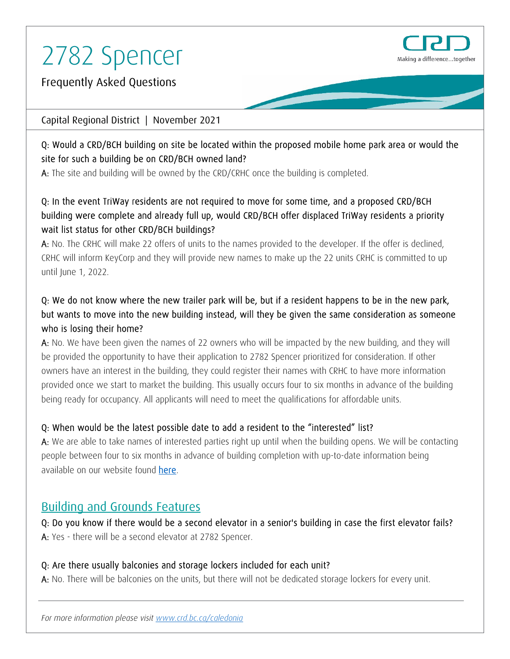

Frequently Asked Questions

### Capital Regional District | November 2021

# Q: Would a CRD/BCH building on site be located within the proposed mobile home park area or would the site for such a building be on CRD/BCH owned land?

A: The site and building will be owned by the CRD/CRHC once the building is completed.

# Q: In the event TriWay residents are not required to move for some time, and a proposed CRD/BCH building were complete and already full up, would CRD/BCH offer displaced TriWay residents a priority wait list status for other CRD/BCH buildings?

A: No. The CRHC will make 22 offers of units to the names provided to the developer. If the offer is declined, CRHC will inform KeyCorp and they will provide new names to make up the 22 units CRHC is committed to up until June 1, 2022.

# Q: We do not know where the new trailer park will be, but if a resident happens to be in the new park, but wants to move into the new building instead, will they be given the same consideration as someone who is losing their home?

A: No. We have been given the names of 22 owners who will be impacted by the new building, and they will be provided the opportunity to have their application to 2782 Spencer prioritized for consideration. If other owners have an interest in the building, they could register their names with CRHC to have more information provided once we start to market the building. This usually occurs four to six months in advance of the building being ready for occupancy. All applicants will need to meet the qualifications for affordable units.

# Q: When would be the latest possible date to add a resident to the "interested" list?

A: We are able to take names of interested parties right up until when the building opens. We will be contacting people between four to six months in advance of building completion with up-to-date information being available on our website found [here.](https://www.crd.bc.ca/crhc/)

# Building and Grounds Features

Q: Do you know if there would be a second elevator in a senior's building in case the first elevator fails? A: Yes - there will be a second elevator at 2782 Spencer.

# Q: Are there usually balconies and storage lockers included for each unit?

A: No. There will be balconies on the units, but there will not be dedicated storage lockers for every unit.